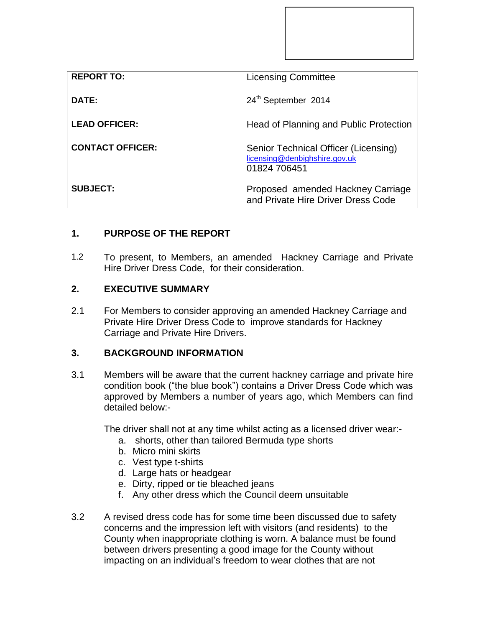| <b>REPORT TO:</b>       | <b>Licensing Committee</b>                                                            |
|-------------------------|---------------------------------------------------------------------------------------|
| DATE:                   | 24th September 2014                                                                   |
| <b>LEAD OFFICER:</b>    | Head of Planning and Public Protection                                                |
| <b>CONTACT OFFICER:</b> | Senior Technical Officer (Licensing)<br>licensing@denbighshire.gov.uk<br>01824 706451 |
| <b>SUBJECT:</b>         | Proposed amended Hackney Carriage<br>and Private Hire Driver Dress Code               |

# **1. PURPOSE OF THE REPORT**

1.2 To present, to Members, an amended Hackney Carriage and Private Hire Driver Dress Code, for their consideration.

## **2. EXECUTIVE SUMMARY**

2.1 For Members to consider approving an amended Hackney Carriage and Private Hire Driver Dress Code to improve standards for Hackney Carriage and Private Hire Drivers.

## **3. BACKGROUND INFORMATION**

3.1 Members will be aware that the current hackney carriage and private hire condition book ("the blue book") contains a Driver Dress Code which was approved by Members a number of years ago, which Members can find detailed below:-

The driver shall not at any time whilst acting as a licensed driver wear:-

- a. shorts, other than tailored Bermuda type shorts
- b. Micro mini skirts
- c. Vest type t-shirts
- d. Large hats or headgear
- e. Dirty, ripped or tie bleached jeans
- f. Any other dress which the Council deem unsuitable
- 3.2 A revised dress code has for some time been discussed due to safety concerns and the impression left with visitors (and residents) to the County when inappropriate clothing is worn. A balance must be found between drivers presenting a good image for the County without impacting on an individual's freedom to wear clothes that are not